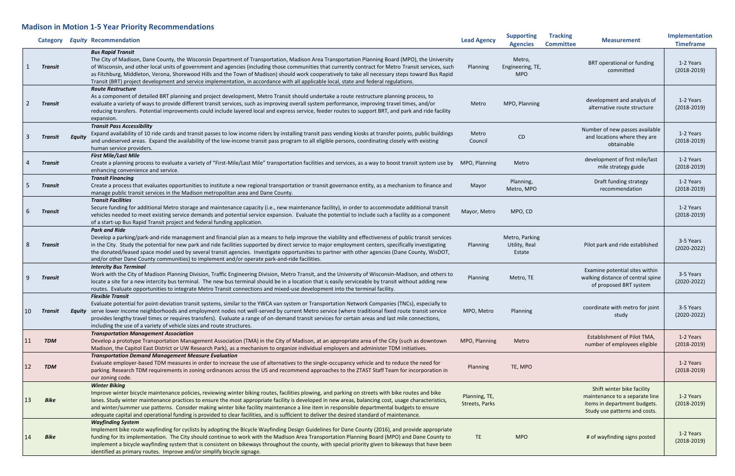## **Madison in Motion 1-5 Year Priority Recommendations**

|    | Category    |               | <b>Equity Recommendation</b>                                                                                                                                                                                                                                                                                                                                                                                                                                                                                                                                                                                                    | <b>Lead Agency</b>              | <b>Supporting</b><br><b>Agencies</b>      | <b>Tracking</b><br><b>Committee</b> | <b>Measurement</b>                                                                                                            | Implementation<br><b>Timeframe</b> |
|----|-------------|---------------|---------------------------------------------------------------------------------------------------------------------------------------------------------------------------------------------------------------------------------------------------------------------------------------------------------------------------------------------------------------------------------------------------------------------------------------------------------------------------------------------------------------------------------------------------------------------------------------------------------------------------------|---------------------------------|-------------------------------------------|-------------------------------------|-------------------------------------------------------------------------------------------------------------------------------|------------------------------------|
|    | Transit     |               | <b>Bus Rapid Transit</b><br>The City of Madison, Dane County, the Wisconsin Department of Transportation, Madison Area Transportation Planning Board (MPO), the University<br>of Wisconsin, and other local units of government and agencies (including those communities that currently contract for Metro Transit services, such<br>as Fitchburg, Middleton, Verona, Shorewood Hills and the Town of Madison) should work cooperatively to take all necessary steps toward Bus Rapid<br>Transit (BRT) project development and service implementation, in accordance with all applicable local, state and federal regulations. | Planning                        | Metro,<br>Engineering, TE,<br><b>MPO</b>  |                                     | BRT operational or funding<br>committed                                                                                       | 1-2 Years<br>$(2018 - 2019)$       |
|    | Transit     |               | <b>Route Restructure</b><br>As a component of detailed BRT planning and project development, Metro Transit should undertake a route restructure planning process, to<br>evaluate a variety of ways to provide different transit services, such as improving overall system performance, improving travel times, and/or<br>reducing transfers. Potential improvements could include layered local and express service, feeder routes to support BRT, and park and ride facility<br>expansion.                                                                                                                                    | Metro                           | MPO, Planning                             |                                     | development and analysis of<br>alternative route structure                                                                    | 1-2 Years<br>$(2018 - 2019)$       |
|    | Transit     | <b>Equity</b> | <b>Transit Pass Accessibility</b><br>Expand availability of 10 ride cards and transit passes to low income riders by installing transit pass vending kiosks at transfer points, public buildings<br>and undeserved areas. Expand the availability of the low-income transit pass program to all eligible persons, coordinating closely with existing<br>human service providers.                                                                                                                                                                                                                                                | Metro<br>Council                | CD                                        |                                     | Number of new passes available<br>and locations where they are<br>obtainable                                                  | 1-2 Years<br>$(2018 - 2019)$       |
|    | Transit     |               | <b>First Mile/Last Mile</b><br>Create a planning process to evaluate a variety of "First-Mile/Last Mile" transportation facilities and services, as a way to boost transit system use by MPO, Planning<br>enhancing convenience and service.                                                                                                                                                                                                                                                                                                                                                                                    |                                 | Metro                                     |                                     | development of first mile/last<br>mile strategy guide                                                                         | 1-2 Years<br>$(2018-2019)$         |
|    | Transit     |               | <b>Transit Financing</b><br>Create a process that evaluates opportunities to institute a new regional transportation or transit governance entity, as a mechanism to finance and<br>manage public transit services in the Madison metropolitan area and Dane County.                                                                                                                                                                                                                                                                                                                                                            | Mayor                           | Planning,<br>Metro, MPO                   |                                     | Draft funding strategy<br>recommendation                                                                                      | 1-2 Years<br>$(2018 - 2019)$       |
|    | Transit     |               | <b>Transit Facilities</b><br>Secure funding for additional Metro storage and maintenance capacity (i.e., new maintenance facility), in order to accommodate additional transit<br>vehicles needed to meet existing service demands and potential service expansion. Evaluate the potential to include such a facility as a component<br>of a start-up Bus Rapid Transit project and federal funding application.                                                                                                                                                                                                                | Mayor, Metro                    | MPO, CD                                   |                                     |                                                                                                                               | 1-2 Years<br>$(2018 - 2019)$       |
|    | Transit     |               | <b>Park and Ride</b><br>Develop a parking/park-and-ride management and financial plan as a means to help improve the viability and effectiveness of public transit services<br>in the City. Study the potential for new park and ride facilities supported by direct service to major employment centers, specifically investigating<br>the donated/leased space model used by several transit agencies. Investigate opportunities to partner with other agencies (Dane County, WisDOT,<br>and/or other Dane County communities) to implement and/or operate park-and-ride facilities.                                          | Planning                        | Metro, Parking<br>Utility, Real<br>Estate |                                     | Pilot park and ride established                                                                                               | 3-5 Years<br>$(2020 - 2022)$       |
|    | Transit     |               | <b>Intercity Bus Terminal</b><br>Work with the City of Madison Planning Division, Traffic Engineering Division, Metro Transit, and the University of Wisconsin-Madison, and others to<br>locate a site for a new intercity bus terminal. The new bus terminal should be in a location that is easily serviceable by transit without adding new<br>routes. Evaluate opportunities to integrate Metro Transit connections and mixed-use development into the terminal facility.                                                                                                                                                   | Planning                        | Metro, TE                                 |                                     | Examine potential sites within<br>walking distance of central spine<br>of proposed BRT system                                 | 3-5 Years<br>$(2020 - 2022)$       |
| 10 | Transit     |               | <b>Flexible Transit</b><br>Evaluate potential for point-deviation transit systems, similar to the YWCA van system or Transportation Network Companies (TNCs), especially to<br>Equity serve lower income neighborhoods and employment nodes not well-served by current Metro service (where traditional fixed route transit service<br>provides lengthy travel times or requires transfers). Evaluate a range of on-demand transit services for certain areas and last mile connections,<br>including the use of a variety of vehicle sizes and route structures.                                                               | MPO, Metro                      | Planning                                  |                                     | coordinate with metro for joint<br>study                                                                                      | 3-5 Years<br>$(2020 - 2022)$       |
|    | <b>TDM</b>  |               | <b>Transportation Management Association</b><br>Develop a prototype Transportation Management Association (TMA) in the City of Madison, at an appropriate area of the City (such as downtown<br>Madison, the Capitol East District or UW Research Park), as a mechanism to organize individual employers and administer TDM initiatives.                                                                                                                                                                                                                                                                                        | MPO, Planning                   | Metro                                     |                                     | Establishment of Pilot TMA,<br>number of employees eligible                                                                   | 1-2 Years<br>$(2018-2019)$         |
|    | <b>TDM</b>  |               | <b>Transportation Demand Management Measure Evaluation</b><br>Evaluate employer-based TDM measures in order to increase the use of alternatives to the single-occupancy vehicle and to reduce the need for<br>parking. Research TDM requirements in zoning ordinances across the US and recommend approaches to the ZTAST Staff Team for incorporation in<br>our zoning code.                                                                                                                                                                                                                                                   | Planning                        | TE, MPO                                   |                                     |                                                                                                                               | 1-2 Years<br>$(2018 - 2019)$       |
|    | <b>Bike</b> |               | <b>Winter Biking</b><br>Improve winter bicycle maintenance policies, reviewing winter biking routes, facilities plowing, and parking on streets with bike routes and bike<br>lanes. Study winter maintenance practices to ensure the most appropriate facility is developed in new areas, balancing cost, usage characteristics,<br>and winter/summer use patterns. Consider making winter bike facility maintenance a line item in responsible departmental budgets to ensure<br>adequate capital and operational funding is provided to clear facilities, and is sufficient to deliver the desired standard of maintenance.   | Planning, TE,<br>Streets, Parks |                                           |                                     | Shift winter bike facility<br>maintenance to a separate line<br>items in department budgets.<br>Study use patterns and costs. | 1-2 Years<br>$(2018 - 2019)$       |
|    | <b>Bike</b> |               | <b>Wayfinding System</b><br>Implement bike route wayfinding for cyclists by adopting the Bicycle Wayfinding Design Guidelines for Dane County (2016), and provide appropriate<br>funding for its implementation. The City should continue to work with the Madison Area Transportation Planning Board (MPO) and Dane County to<br>implement a bicycle wayfinding system that is consistent on bikeways throughout the county, with special priority given to bikeways that have been<br>identified as primary routes. Improve and/or simplify bicycle signage.                                                                  | TE.                             | <b>MPO</b>                                |                                     | # of wayfinding signs posted                                                                                                  | 1-2 Years<br>$(2018 - 2019)$       |